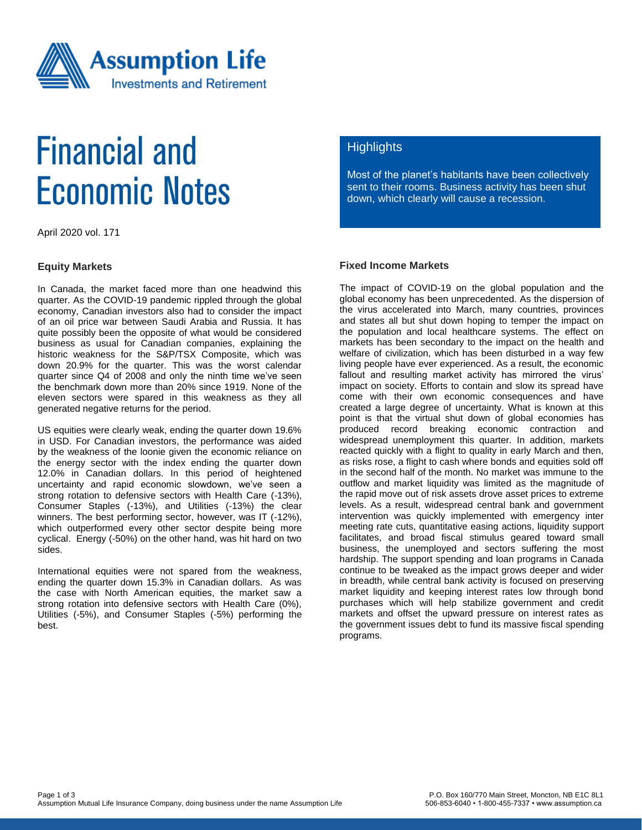

# **Financial and Economic Notes**

April 2020 vol. 171

#### **Equity Markets**

In Canada, the market faced more than one headwind this quarter. As the COVID-19 pandemic rippled through the global economy, Canadian investors also had to consider the impact of an oil price war between Saudi Arabia and Russia. It has quite possibly been the opposite of what would be considered business as usual for Canadian companies, explaining the historic weakness for the S&P/TSX Composite, which was down 20.9% for the quarter. This was the worst calendar quarter since Q4 of 2008 and only the ninth time we've seen the benchmark down more than 20% since 1919. None of the eleven sectors were spared in this weakness as they all generated negative returns for the period.

US equities were clearly weak, ending the quarter down 19.6% in USD. For Canadian investors, the performance was aided by the weakness of the loonie given the economic reliance on the energy sector with the index ending the quarter down 12.0% in Canadian dollars. In this period of heightened uncertainty and rapid economic slowdown, we've seen a strong rotation to defensive sectors with Health Care (-13%), Consumer Staples (-13%), and Utilities (-13%) the clear winners. The best performing sector, however, was IT (-12%), which outperformed every other sector despite being more cyclical. Energy (-50%) on the other hand, was hit hard on two sides.

International equities were not spared from the weakness, ending the quarter down 15.3% in Canadian dollars. As was the case with North American equities, the market saw a strong rotation into defensive sectors with Health Care (0%), Utilities (-5%), and Consumer Staples (-5%) performing the best.

# **Highlights**

Most of the planet's habitants have been collectively sent to their rooms. Business activity has been shut down, which clearly will cause a recession.

### **Fixed Income Markets**

The impact of COVID-19 on the global population and the global economy has been unprecedented. As the dispersion of the virus accelerated into March, many countries, provinces and states all but shut down hoping to temper the impact on the population and local healthcare systems. The effect on markets has been secondary to the impact on the health and welfare of civilization, which has been disturbed in a way few living people have ever experienced. As a result, the economic fallout and resulting market activity has mirrored the virus' impact on society. Efforts to contain and slow its spread have come with their own economic consequences and have created a large degree of uncertainty. What is known at this point is that the virtual shut down of global economies has produced record breaking economic contraction and widespread unemployment this quarter. In addition, markets reacted quickly with a flight to quality in early March and then, as risks rose, a flight to cash where bonds and equities sold off in the second half of the month. No market was immune to the outflow and market liquidity was limited as the magnitude of the rapid move out of risk assets drove asset prices to extreme levels. As a result, widespread central bank and government intervention was quickly implemented with emergency inter meeting rate cuts, quantitative easing actions, liquidity support facilitates, and broad fiscal stimulus geared toward small business, the unemployed and sectors suffering the most hardship. The support spending and loan programs in Canada continue to be tweaked as the impact grows deeper and wider in breadth, while central bank activity is focused on preserving market liquidity and keeping interest rates low through bond purchases which will help stabilize government and credit markets and offset the upward pressure on interest rates as the government issues debt to fund its massive fiscal spending programs.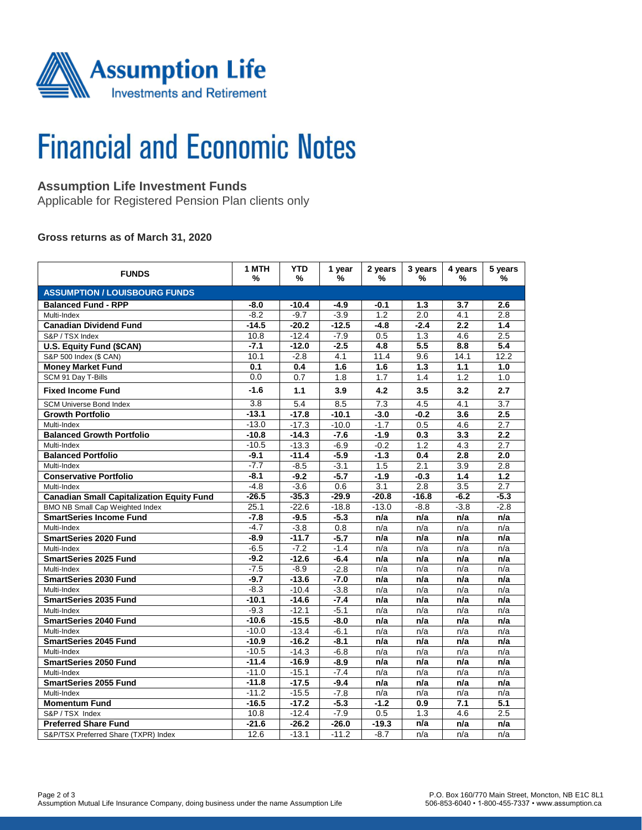

# **Financial and Economic Notes**

# **Assumption Life Investment Funds**

Applicable for Registered Pension Plan clients only

### **Gross returns as of March 31, 2020**

| <b>FUNDS</b>                                     | 1 MTH<br>% | <b>YTD</b><br>% | 1 year<br>% | 2 years<br>%     | 3 years<br>% | 4 years<br>% | 5 years<br>$\%$  |  |  |  |  |
|--------------------------------------------------|------------|-----------------|-------------|------------------|--------------|--------------|------------------|--|--|--|--|
| <b>ASSUMPTION / LOUISBOURG FUNDS</b>             |            |                 |             |                  |              |              |                  |  |  |  |  |
| <b>Balanced Fund - RPP</b>                       | $-8.0$     | $-10.4$         | $-4.9$      | -0.1             | 1.3          | 3.7          | 2.6              |  |  |  |  |
| Multi-Index                                      | $-8.2$     | $-9.7$          | $-3.9$      | 1.2              | 2.0          | 4.1          | 2.8              |  |  |  |  |
| <b>Canadian Dividend Fund</b>                    | $-14.5$    | $-20.2$         | $-12.5$     | -4.8             | $-2.4$       | 2.2          | 1.4              |  |  |  |  |
| S&P / TSX Index                                  | 10.8       | $-12.4$         | $-7.9$      | 0.5              | 1.3          | 4.6          | 2.5              |  |  |  |  |
| U.S. Equity Fund (\$CAN)                         | $-7.1$     | $-12.0$         | $-2.5$      | 4.8              | 5.5          | 8.8          | 5.4              |  |  |  |  |
| S&P 500 Index (\$ CAN)                           | 10.1       | $-2.8$          | 4.1         | 11.4             | 9.6          | 14.1         | 12.2             |  |  |  |  |
| <b>Money Market Fund</b>                         | 0.1        | 0.4             | 1.6         | 1.6              | 1.3          | 1.1          | 1.0              |  |  |  |  |
| SCM 91 Day T-Bills                               | 0.0        | 0.7             | 1.8         | 1.7              | 1.4          | 1.2          | 1.0              |  |  |  |  |
| <b>Fixed Income Fund</b>                         | $-1.6$     | 1.1             | 3.9         | 4.2              | 3.5          | 3.2          | 2.7              |  |  |  |  |
| <b>SCM Universe Bond Index</b>                   | 3.8        | 5.4             | 8.5         | 7.3              | 4.5          | 4.1          | 3.7              |  |  |  |  |
| <b>Growth Portfolio</b>                          | $-13.1$    | $-17.8$         | $-10.1$     | $-3.0$           | $-0.2$       | 3.6          | 2.5              |  |  |  |  |
| Multi-Index                                      | $-13.0$    | $-17.3$         | $-10.0$     | $-1.7$           | 0.5          | 4.6          | 2.7              |  |  |  |  |
| <b>Balanced Growth Portfolio</b>                 | $-10.8$    | $-14.3$         | $-7.6$      | $-1.9$           | 0.3          | 3.3          | 2.2              |  |  |  |  |
| Multi-Index                                      | $-10.5$    | $-13.3$         | $-6.9$      | $-0.2$           | 1.2          | 4.3          | 2.7              |  |  |  |  |
| <b>Balanced Portfolio</b>                        | $-9.1$     | $-11.4$         | $-5.9$      | $-1.3$           | 0.4          | 2.8          | 2.0              |  |  |  |  |
| Multi-Index                                      | $-7.7$     | $-8.5$          | $-3.1$      | 1.5              | 2.1          | 3.9          | 2.8              |  |  |  |  |
| <b>Conservative Portfolio</b>                    | $-8.1$     | $-9.2$          | $-5.7$      | $-1.9$           | $-0.3$       | 1.4          | 1.2              |  |  |  |  |
| Multi-Index                                      | $-4.8$     | $-3.6$          | 0.6         | 3.1              | 2.8          | 3.5          | 2.7              |  |  |  |  |
| <b>Canadian Small Capitalization Equity Fund</b> | $-26.5$    | $-35.3$         | $-29.9$     | $-20.8$          | $-16.8$      | $-6.2$       | $-5.3$           |  |  |  |  |
| <b>BMO NB Small Cap Weighted Index</b>           | 25.1       | $-22.6$         | $-18.8$     | $-13.0$          | $-8.8$       | $-3.8$       | $-2.8$           |  |  |  |  |
| <b>SmartSeries Income Fund</b>                   | $-7.8$     | $-9.5$          | $-5.3$      | n/a              | n/a          | n/a          | n/a              |  |  |  |  |
| Multi-Index                                      | $-4.7$     | $-3.8$          | 0.8         | n/a              | n/a          | n/a          | n/a              |  |  |  |  |
| <b>SmartSeries 2020 Fund</b>                     | $-8.9$     | $-11.7$         | $-5.7$      | n/a              | n/a          | n/a          | n/a              |  |  |  |  |
| Multi-Index                                      | $-6.5$     | $-7.2$          | $-1.4$      | n/a              | n/a          | n/a          | n/a              |  |  |  |  |
| SmartSeries 2025 Fund                            | $-9.2$     | $-12.6$         | $-6.4$      | n/a              | n/a          | n/a          | n/a              |  |  |  |  |
| Multi-Index                                      | $-7.5$     | $-8.9$          | $-2.8$      | n/a              | n/a          | n/a          | n/a              |  |  |  |  |
| <b>SmartSeries 2030 Fund</b>                     | $-9.7$     | $-13.6$         | $-7.0$      | n/a              | n/a          | n/a          | n/a              |  |  |  |  |
| Multi-Index                                      | $-8.3$     | $-10.4$         | $-3.8$      | n/a              | n/a          | n/a          | n/a              |  |  |  |  |
| SmartSeries 2035 Fund                            | $-10.1$    | $-14.6$         | $-7.4$      | n/a              | n/a          | n/a          | n/a              |  |  |  |  |
| Multi-Index                                      | $-9.3$     | $-12.1$         | $-5.1$      | n/a              | n/a          | n/a          | n/a              |  |  |  |  |
| <b>SmartSeries 2040 Fund</b>                     | $-10.6$    | $-15.5$         | $-8.0$      | n/a              | n/a          | n/a          | n/a              |  |  |  |  |
| Multi-Index                                      | $-10.0$    | $-13.4$         | $-6.1$      | n/a              | n/a          | n/a          | n/a              |  |  |  |  |
| <b>SmartSeries 2045 Fund</b>                     | $-10.9$    | $-16.2$         | $-8.1$      | n/a              | n/a          | n/a          | n/a              |  |  |  |  |
| Multi-Index                                      | $-10.5$    | $-14.3$         | $-6.8$      | n/a              | n/a          | n/a          | n/a              |  |  |  |  |
| <b>SmartSeries 2050 Fund</b>                     | $-11.4$    | $-16.9$         | $-8.9$      | n/a              | n/a          | n/a          | n/a              |  |  |  |  |
| Multi-Index                                      | $-11.0$    | $-15.1$         | $-7.4$      | n/a              | n/a          | n/a          | n/a              |  |  |  |  |
| <b>SmartSeries 2055 Fund</b>                     | $-11.8$    | $-17.5$         | $-9.4$      | n/a              | n/a          | n/a          | n/a              |  |  |  |  |
| Multi-Index                                      | $-11.2$    | $-15.5$         | $-7.8$      | n/a              | n/a          | n/a          | n/a              |  |  |  |  |
| <b>Momentum Fund</b>                             | $-16.5$    | $-17.2$         | $-5.3$      | $-1.2$           | 0.9          | 7.1          | $\overline{5.1}$ |  |  |  |  |
| S&P / TSX Index                                  | 10.8       | $-12.4$         | $-7.9$      | $\overline{0.5}$ | 1.3          | 4.6          | 2.5              |  |  |  |  |
| <b>Preferred Share Fund</b>                      | $-21.6$    | $-26.2$         | $-26.0$     | $-19.3$          | n/a          | n/a          | n/a              |  |  |  |  |
| S&P/TSX Preferred Share (TXPR) Index             | 12.6       | $-13.1$         | $-11.2$     | $-8.7$           | n/a          | n/a          | n/a              |  |  |  |  |